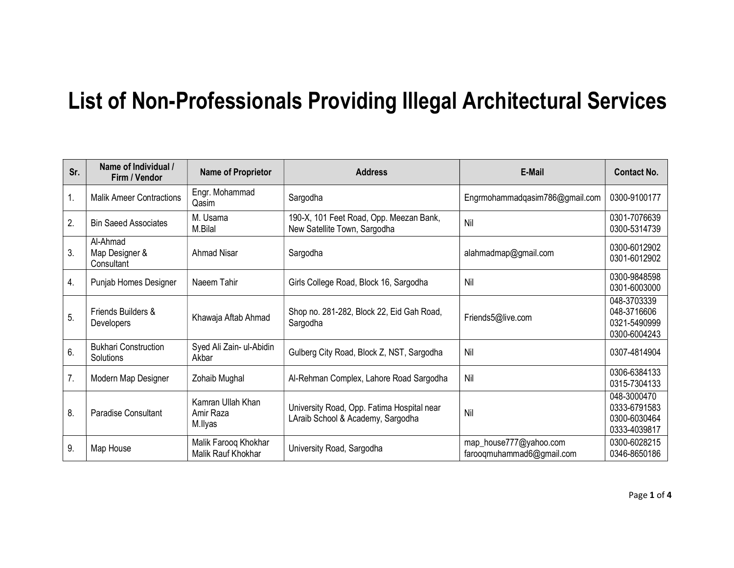## List of Non-Professionals Providing Illegal Architectural Services

| Sr.              | Name of Individual /<br>Firm / Vendor    | <b>Name of Proprietor</b>                  | <b>Address</b>                                                                  | E-Mail                                              | <b>Contact No.</b>                                          |
|------------------|------------------------------------------|--------------------------------------------|---------------------------------------------------------------------------------|-----------------------------------------------------|-------------------------------------------------------------|
| 1.               | <b>Malik Ameer Contractions</b>          | Engr. Mohammad<br>Qasim                    | Sargodha                                                                        | Engrmohammadqasim786@gmail.com                      | 0300-9100177                                                |
| 2.               | <b>Bin Saeed Associates</b>              | M. Usama<br>M.Bilal                        | 190-X, 101 Feet Road, Opp. Meezan Bank,<br>New Satellite Town, Sargodha         | Nil                                                 | 0301-7076639<br>0300-5314739                                |
| 3.               | Al-Ahmad<br>Map Designer &<br>Consultant | <b>Ahmad Nisar</b>                         | Sargodha                                                                        | alahmadmap@gmail.com                                | 0300-6012902<br>0301-6012902                                |
| $\overline{4}$ . | Punjab Homes Designer                    | Naeem Tahir                                | Girls College Road, Block 16, Sargodha                                          | Nil                                                 | 0300-9848598<br>0301-6003000                                |
| 5.               | Friends Builders &<br><b>Developers</b>  | Khawaja Aftab Ahmad                        | Shop no. 281-282, Block 22, Eid Gah Road,<br>Sargodha                           | Friends5@live.com                                   | 048-3703339<br>048-3716606<br>0321-5490999<br>0300-6004243  |
| 6.               | <b>Bukhari Construction</b><br>Solutions | Syed Ali Zain- ul-Abidin<br>Akbar          | Gulberg City Road, Block Z, NST, Sargodha                                       | Nil                                                 | 0307-4814904                                                |
| 7.               | Modern Map Designer                      | Zohaib Mughal                              | Al-Rehman Complex, Lahore Road Sargodha                                         | Nil                                                 | 0306-6384133<br>0315-7304133                                |
| 8.               | <b>Paradise Consultant</b>               | Kamran Ullah Khan<br>Amir Raza<br>M.llyas  | University Road, Opp. Fatima Hospital near<br>LAraib School & Academy, Sargodha | Nil                                                 | 048-3000470<br>0333-6791583<br>0300-6030464<br>0333-4039817 |
| 9.               | Map House                                | Malik Farooq Khokhar<br>Malik Rauf Khokhar | University Road, Sargodha                                                       | map_house777@yahoo.com<br>farooqmuhammad6@gmail.com | 0300-6028215<br>0346-8650186                                |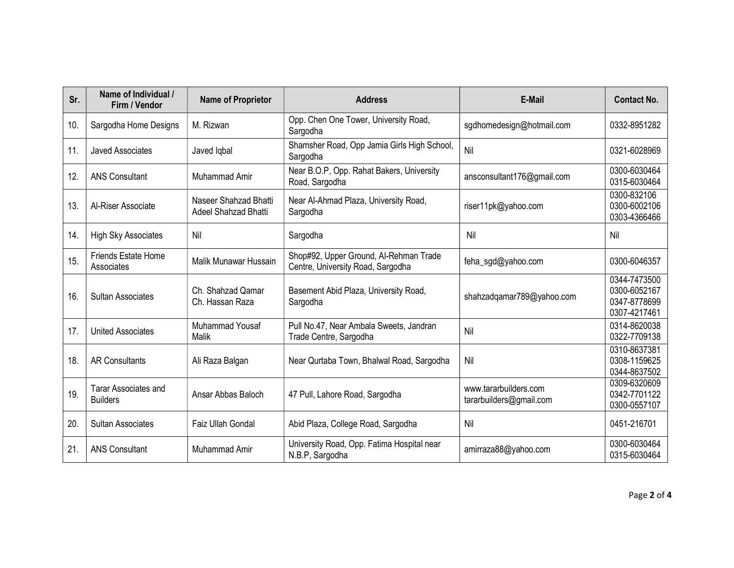| Sr. | Name of Individual /<br>Firm / Vendor   | <b>Name of Proprietor</b>                     | <b>Address</b>                                                              | E-Mail                                           | <b>Contact No.</b>                                           |
|-----|-----------------------------------------|-----------------------------------------------|-----------------------------------------------------------------------------|--------------------------------------------------|--------------------------------------------------------------|
| 10. | Sargodha Home Designs                   | M. Rizwan                                     | Opp. Chen One Tower, University Road,<br>Sargodha                           | sgdhomedesign@hotmail.com                        | 0332-8951282                                                 |
| 11. | <b>Javed Associates</b>                 | Javed Iqbal                                   | Shamsher Road, Opp Jamia Girls High School,<br>Sargodha                     | Nil                                              | 0321-6028969                                                 |
| 12. | <b>ANS Consultant</b>                   | Muhammad Amir                                 | Near B.O.P, Opp. Rahat Bakers, University<br>Road, Sargodha                 | ansconsultant176@gmail.com                       | 0300-6030464<br>0315-6030464                                 |
| 13. | Al-Riser Associate                      | Naseer Shahzad Bhatti<br>Adeel Shahzad Bhatti | Near Al-Ahmad Plaza, University Road,<br>Sargodha                           | riser11pk@yahoo.com                              | 0300-832106<br>0300-6002106<br>0303-4366466                  |
| 14. | <b>High Sky Associates</b>              | Nil                                           | Sargodha                                                                    | Nil                                              | Nil                                                          |
| 15. | Friends Estate Home<br>Associates       | Malik Munawar Hussain                         | Shop#92, Upper Ground, Al-Rehman Trade<br>Centre, University Road, Sargodha | feha_sgd@yahoo.com                               | 0300-6046357                                                 |
| 16. | <b>Sultan Associates</b>                | Ch. Shahzad Qamar<br>Ch. Hassan Raza          | Basement Abid Plaza, University Road,<br>Sargodha                           | shahzadqamar789@yahoo.com                        | 0344-7473500<br>0300-6052167<br>0347-8778699<br>0307-4217461 |
| 17. | <b>United Associates</b>                | Muhammad Yousaf<br>Malik                      | Pull No.47, Near Ambala Sweets, Jandran<br>Trade Centre, Sargodha           | Nil                                              | 0314-8620038<br>0322-7709138                                 |
| 18. | <b>AR Consultants</b>                   | Ali Raza Balgan                               | Near Qurtaba Town, Bhalwal Road, Sargodha                                   | Nil                                              | 0310-8637381<br>0308-1159625<br>0344-8637502                 |
| 19. | Tarar Associates and<br><b>Builders</b> | Ansar Abbas Baloch                            | 47 Pull, Lahore Road, Sargodha                                              | www.tararbuilders.com<br>tararbuilders@gmail.com | 0309-6320609<br>0342-7701122<br>0300-0557107                 |
| 20. | <b>Sultan Associates</b>                | Faiz Ullah Gondal                             | Abid Plaza, College Road, Sargodha                                          | Nil                                              | 0451-216701                                                  |
| 21. | <b>ANS Consultant</b>                   | Muhammad Amir                                 | University Road, Opp. Fatima Hospital near<br>N.B.P, Sargodha               | amirraza88@yahoo.com                             | 0300-6030464<br>0315-6030464                                 |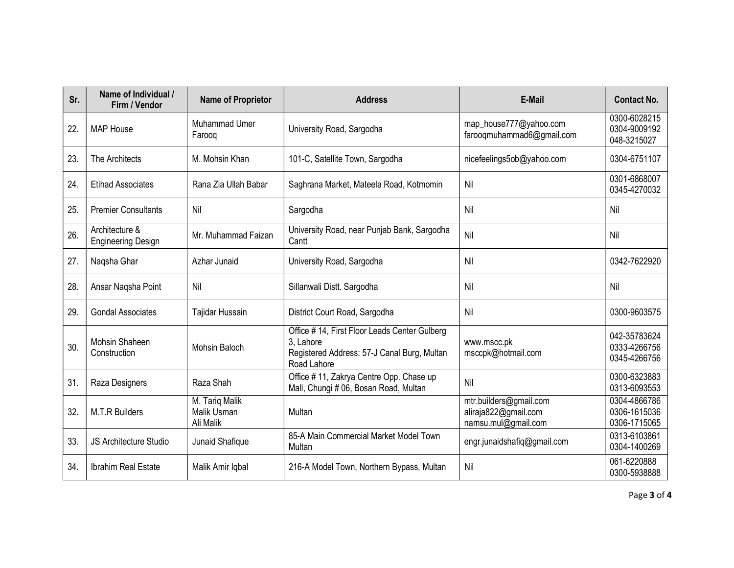| Sr. | Name of Individual /<br>Firm / Vendor       | <b>Name of Proprietor</b>                  | <b>Address</b>                                                                                                          | E-Mail                                                                | <b>Contact No.</b>                           |
|-----|---------------------------------------------|--------------------------------------------|-------------------------------------------------------------------------------------------------------------------------|-----------------------------------------------------------------------|----------------------------------------------|
| 22. | <b>MAP House</b>                            | <b>Muhammad Umer</b><br>Faroog             | University Road, Sargodha                                                                                               | map_house777@yahoo.com<br>farooqmuhammad6@gmail.com                   | 0300-6028215<br>0304-9009192<br>048-3215027  |
| 23. | The Architects                              | M. Mohsin Khan                             | 101-C, Satellite Town, Sargodha                                                                                         | nicefeelings5ob@yahoo.com                                             | 0304-6751107                                 |
| 24. | <b>Etihad Associates</b>                    | Rana Zia Ullah Babar                       | Saghrana Market, Mateela Road, Kotmomin                                                                                 | Nil                                                                   | 0301-6868007<br>0345-4270032                 |
| 25. | <b>Premier Consultants</b>                  | Nil                                        | Sargodha                                                                                                                | Nil                                                                   | Nil                                          |
| 26. | Architecture &<br><b>Engineering Design</b> | Mr. Muhammad Faizan                        | University Road, near Punjab Bank, Sargodha<br>Cantt                                                                    | Nil                                                                   | Nil                                          |
| 27. | Naqsha Ghar                                 | Azhar Junaid                               | University Road, Sargodha                                                                                               | Nil                                                                   | 0342-7622920                                 |
| 28  | Ansar Nagsha Point                          | Nil                                        | Sillanwali Distt. Sargodha                                                                                              | Nil                                                                   | Nil                                          |
| 29. | <b>Gondal Associates</b>                    | Tajidar Hussain                            | District Court Road, Sargodha                                                                                           | Nil                                                                   | 0300-9603575                                 |
| 30. | <b>Mohsin Shaheen</b><br>Construction       | <b>Mohsin Baloch</b>                       | Office #14, First Floor Leads Center Gulberg<br>3. Lahore<br>Registered Address: 57-J Canal Burg, Multan<br>Road Lahore | www.mscc.pk<br>msccpk@hotmail.com                                     | 042-35783624<br>0333-4266756<br>0345-4266756 |
| 31. | Raza Designers                              | Raza Shah                                  | Office #11, Zakrya Centre Opp. Chase up<br>Mall, Chungi # 06, Bosan Road, Multan                                        | Nil                                                                   | 0300-6323883<br>0313-6093553                 |
| 32. | M.T.R Builders                              | M. Tariq Malik<br>Malik Usman<br>Ali Malik | Multan                                                                                                                  | mtr.builders@gmail.com<br>aliraja822@gmail.com<br>namsu.mul@gmail.com | 0304-4866786<br>0306-1615036<br>0306-1715065 |
| 33. | <b>JS Architecture Studio</b>               | Junaid Shafique                            | 85-A Main Commercial Market Model Town<br>Multan                                                                        | engr.junaidshafiq@gmail.com                                           | 0313-6103861<br>0304-1400269                 |
| 34. | Ibrahim Real Estate                         | Malik Amir Iqbal                           | 216-A Model Town, Northern Bypass, Multan                                                                               | Nil                                                                   | 061-6220888<br>0300-5938888                  |